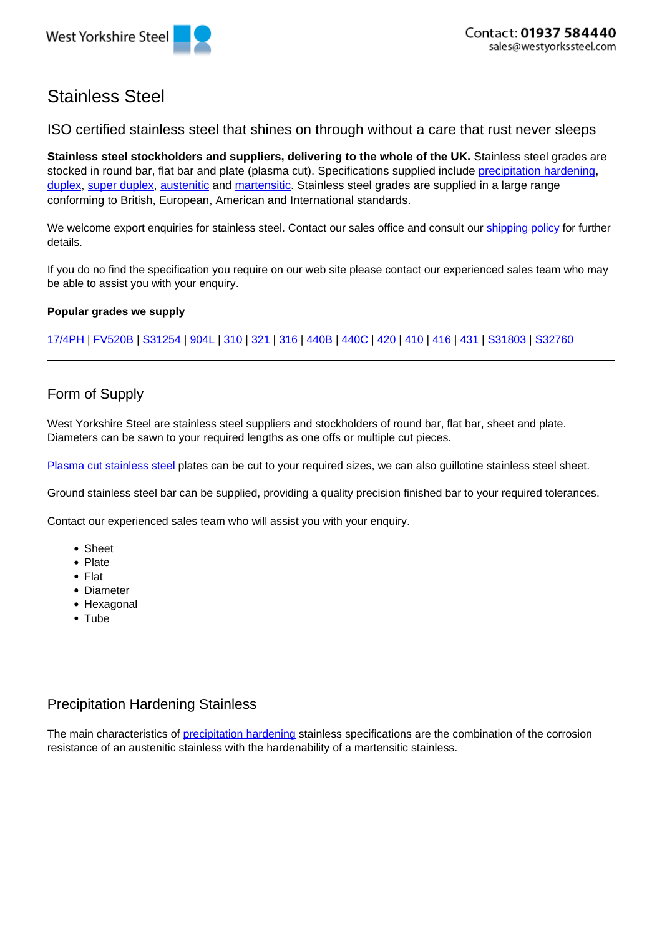

# Stainless Steel

ISO certified stainless steel that shines on through without a care that rust never sleeps

**Stainless steel stockholders and suppliers, delivering to the whole of the UK.** Stainless steel grades are stocked in round bar, flat bar and plate (plasma cut). Specifications supplied include precipitation hardening, duplex, super duplex, austenitic and martensitic. Stainless steel grades are supplied in a large range conforming to British, European, American and International standards.

We welcome export enquiries for stainless steel. Contact our sales office and consult our shipping policy for further details.

If you do no find the specification you require on our web site please contact our experienced sales team who may be able to assist you with your enquiry.

#### **Popular grades we supply**

17/4PH | FV520B | S31254 | 904L | 310 | 321 | 316 | 440B | 440C | 420 | 410 | 416 | 431 | S31803 | S32760

### Form of Supply

West Yorkshire Steel are stainless steel suppliers and stockholders of round bar, flat bar, sheet and plate. Diameters can be sawn to your required lengths as one offs or multiple cut pieces.

Plasma cut stainless steel plates can be cut to your required sizes, we can also guillotine stainless steel sheet.

Ground stainless steel bar can be supplied, providing a quality precision finished bar to your required tolerances.

Contact our experienced sales team who will assist you with your enquiry.

- Sheet
- Plate
- Flat
- Diameter
- Hexagonal
- Tube

### Precipitation Hardening Stainless

The main characteristics of precipitation hardening stainless specifications are the combination of the corrosion resistance of an austenitic stainless with the hardenability of a martensitic stainless.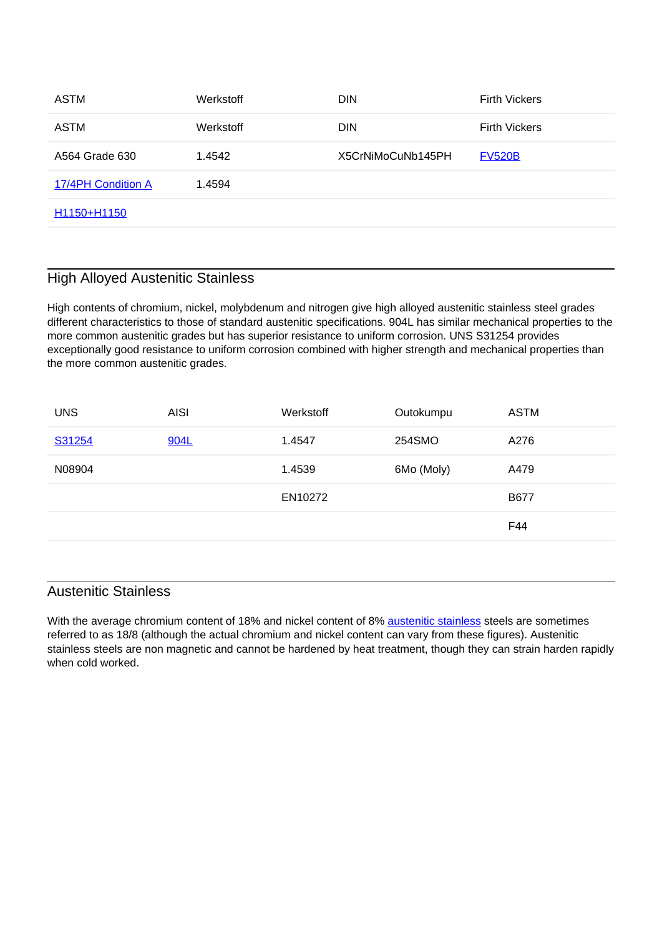| ASTM               | Werkstoff | <b>DIN</b>        | <b>Firth Vickers</b> |
|--------------------|-----------|-------------------|----------------------|
| ASTM               | Werkstoff | <b>DIN</b>        | <b>Firth Vickers</b> |
| A564 Grade 630     | 1.4542    | X5CrNiMoCuNb145PH | <b>FV520B</b>        |
| 17/4PH Condition A | 1.4594    |                   |                      |
| H1150+H1150        |           |                   |                      |
|                    |           |                   |                      |

#### High Alloyed Austenitic Stainless

High contents of chromium, nickel, molybdenum and nitrogen give high alloyed austenitic stainless steel grades different characteristics to those of standard austenitic specifications. 904L has similar mechanical properties to the more common austenitic grades but has superior resistance to uniform corrosion. UNS S31254 provides exceptionally good resistance to uniform corrosion combined with higher strength and mechanical properties than the more common austenitic grades.

| <b>UNS</b> | <b>AISI</b> | Werkstoff | Outokumpu  | ASTM        |
|------------|-------------|-----------|------------|-------------|
| S31254     | 904L        | 1.4547    | 254SMO     | A276        |
| N08904     |             | 1.4539    | 6Mo (Moly) | A479        |
|            |             | EN10272   |            | <b>B677</b> |
|            |             |           |            | F44         |
|            |             |           |            |             |

## Austenitic Stainless

With the average chromium content of 18% and nickel content of 8% austenitic stainless steels are sometimes referred to as 18/8 (although the actual chromium and nickel content can vary from these figures). Austenitic stainless steels are non magnetic and cannot be hardened by heat treatment, though they can strain harden rapidly when cold worked.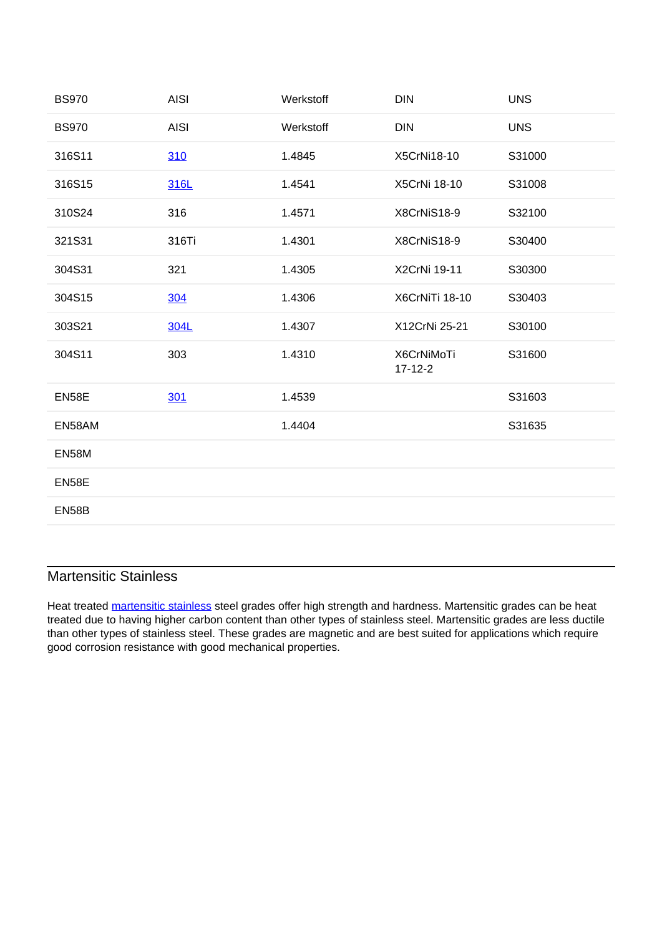| <b>BS970</b> | <b>AISI</b> | Werkstoff | <b>DIN</b>                  | <b>UNS</b> |
|--------------|-------------|-----------|-----------------------------|------------|
| <b>BS970</b> | <b>AISI</b> | Werkstoff | <b>DIN</b>                  | <b>UNS</b> |
| 316S11       | 310         | 1.4845    | X5CrNi18-10                 | S31000     |
| 316S15       | 316L        | 1.4541    | X5CrNi 18-10                | S31008     |
| 310S24       | 316         | 1.4571    | X8CrNiS18-9                 | S32100     |
| 321S31       | 316Ti       | 1.4301    | X8CrNiS18-9                 | S30400     |
| 304S31       | 321         | 1.4305    | X2CrNi 19-11                | S30300     |
| 304S15       | 304         | 1.4306    | X6CrNiTi 18-10              | S30403     |
| 303S21       | 304L        | 1.4307    | X12CrNi 25-21               | S30100     |
| 304S11       | 303         | 1.4310    | X6CrNiMoTi<br>$17 - 12 - 2$ | S31600     |
| EN58E        | 301         | 1.4539    |                             | S31603     |
| EN58AM       |             | 1.4404    |                             | S31635     |
| EN58M        |             |           |                             |            |
| EN58E        |             |           |                             |            |
| EN58B        |             |           |                             |            |
|              |             |           |                             |            |

#### Martensitic Stainless

Heat treated martensitic stainless steel grades offer high strength and hardness. Martensitic grades can be heat treated due to having higher carbon content than other types of stainless steel. Martensitic grades are less ductile than other types of stainless steel. These grades are magnetic and are best suited for applications which require good corrosion resistance with good mechanical properties.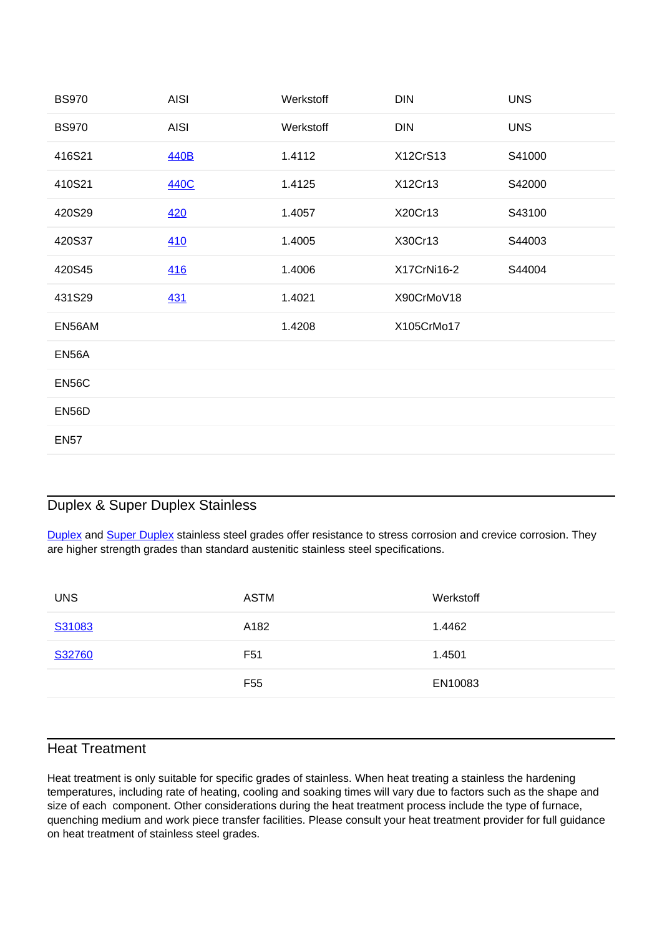| <b>BS970</b> | <b>AISI</b> | Werkstoff | <b>DIN</b>  | <b>UNS</b> |
|--------------|-------------|-----------|-------------|------------|
| <b>BS970</b> | <b>AISI</b> | Werkstoff | <b>DIN</b>  | <b>UNS</b> |
| 416S21       | 440B        | 1.4112    | X12CrS13    | S41000     |
| 410S21       | 440C        | 1.4125    | X12Cr13     | S42000     |
| 420S29       | 420         | 1.4057    | X20Cr13     | S43100     |
| 420S37       | 410         | 1.4005    | X30Cr13     | S44003     |
| 420S45       | 416         | 1.4006    | X17CrNi16-2 | S44004     |
| 431S29       | <u>431</u>  | 1.4021    | X90CrMoV18  |            |
| EN56AM       |             | 1.4208    | X105CrMo17  |            |
| EN56A        |             |           |             |            |
| EN56C        |             |           |             |            |
| EN56D        |             |           |             |            |
| <b>EN57</b>  |             |           |             |            |

#### Duplex & Super Duplex Stainless

Duplex and Super Duplex stainless steel grades offer resistance to stress corrosion and crevice corrosion. They are higher strength grades than standard austenitic stainless steel specifications.

| <b>UNS</b> | <b>ASTM</b>     | Werkstoff |
|------------|-----------------|-----------|
| S31083     | A182            | 1.4462    |
| S32760     | F <sub>51</sub> | 1.4501    |
|            | F <sub>55</sub> | EN10083   |
|            |                 |           |

### Heat Treatment

Heat treatment is only suitable for specific grades of stainless. When heat treating a stainless the hardening temperatures, including rate of heating, cooling and soaking times will vary due to factors such as the shape and size of each component. Other considerations during the heat treatment process include the type of furnace, quenching medium and work piece transfer facilities. Please consult your heat treatment provider for full guidance on heat treatment of stainless steel grades.